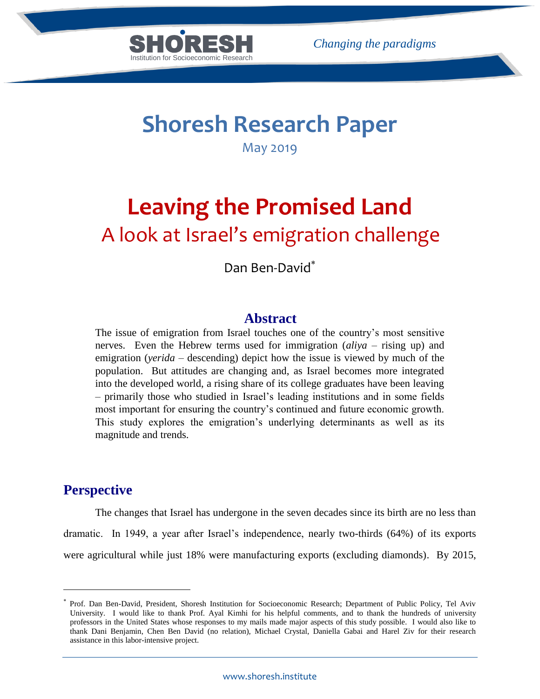

# **Shoresh Research Paper**

May 2019

# **Leaving the Promised Land** A look at Israel's emigration challenge

Dan Ben-David

# **Abstract**

The issue of emigration from Israel touches one of the country's most sensitive nerves. Even the Hebrew terms used for immigration (*aliya* – rising up) and emigration (*yerida* – descending) depict how the issue is viewed by much of the population. But attitudes are changing and, as Israel becomes more integrated into the developed world, a rising share of its college graduates have been leaving – primarily those who studied in Israel's leading institutions and in some fields most important for ensuring the country's continued and future economic growth. This study explores the emigration's underlying determinants as well as its magnitude and trends.

# **Perspective**

 $\overline{a}$ 

The changes that Israel has undergone in the seven decades since its birth are no less than dramatic. In 1949, a year after Israel's independence, nearly two-thirds (64%) of its exports were agricultural while just 18% were manufacturing exports (excluding diamonds). By 2015,

<sup>×</sup> Prof. Dan Ben-David, President, Shoresh Institution for Socioeconomic Research; Department of Public Policy, Tel Aviv University. I would like to thank Prof. Ayal Kimhi for his helpful comments, and to thank the hundreds of university professors in the United States whose responses to my mails made major aspects of this study possible. I would also like to thank Dani Benjamin, Chen Ben David (no relation), Michael Crystal, Daniella Gabai and Harel Ziv for their research assistance in this labor-intensive project.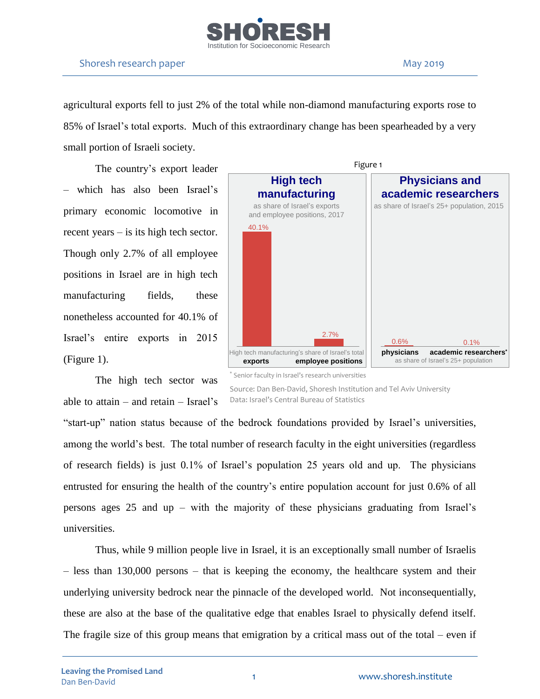

agricultural exports fell to just 2% of the total while non-diamond manufacturing exports rose to 85% of Israel's total exports. Much of this extraordinary change has been spearheaded by a very small portion of Israeli society.

The country's export leader – which has also been Israel's primary economic locomotive in recent years – is its high tech sector. Though only 2.7% of all employee positions in Israel are in high tech manufacturing fields, these nonetheless accounted for 40.1% of Israel's entire exports in 2015 (Figure 1).

The high tech sector was

able to attain – and retain – Israel's



\* Senior faculty in Israel's research universities

Source: Dan Ben-David, Shoresh Institution and Tel Aviv University Data: Israel's Central Bureau of Statistics

"start-up" nation status because of the bedrock foundations provided by Israel's universities, among the world's best. The total number of research faculty in the eight universities (regardless of research fields) is just 0.1% of Israel's population 25 years old and up. The physicians entrusted for ensuring the health of the country's entire population account for just 0.6% of all persons ages 25 and up – with the majority of these physicians graduating from Israel's universities.

Thus, while 9 million people live in Israel, it is an exceptionally small number of Israelis – less than 130,000 persons – that is keeping the economy, the healthcare system and their underlying university bedrock near the pinnacle of the developed world. Not inconsequentially, these are also at the base of the qualitative edge that enables Israel to physically defend itself. The fragile size of this group means that emigration by a critical mass out of the total – even if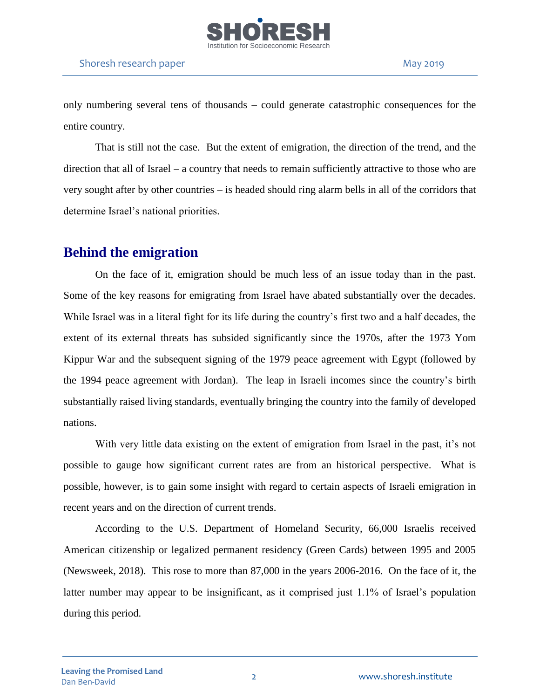

only numbering several tens of thousands – could generate catastrophic consequences for the entire country.

That is still not the case. But the extent of emigration, the direction of the trend, and the direction that all of Israel – a country that needs to remain sufficiently attractive to those who are very sought after by other countries – is headed should ring alarm bells in all of the corridors that determine Israel's national priorities.

# **Behind the emigration**

On the face of it, emigration should be much less of an issue today than in the past. Some of the key reasons for emigrating from Israel have abated substantially over the decades. While Israel was in a literal fight for its life during the country's first two and a half decades, the extent of its external threats has subsided significantly since the 1970s, after the 1973 Yom Kippur War and the subsequent signing of the 1979 peace agreement with Egypt (followed by the 1994 peace agreement with Jordan). The leap in Israeli incomes since the country's birth substantially raised living standards, eventually bringing the country into the family of developed nations.

With very little data existing on the extent of emigration from Israel in the past, it's not possible to gauge how significant current rates are from an historical perspective. What is possible, however, is to gain some insight with regard to certain aspects of Israeli emigration in recent years and on the direction of current trends.

According to the U.S. Department of Homeland Security, 66,000 Israelis received American citizenship or legalized permanent residency (Green Cards) between 1995 and 2005 (Newsweek, 2018). This rose to more than 87,000 in the years 2006-2016. On the face of it, the latter number may appear to be insignificant, as it comprised just 1.1% of Israel's population during this period.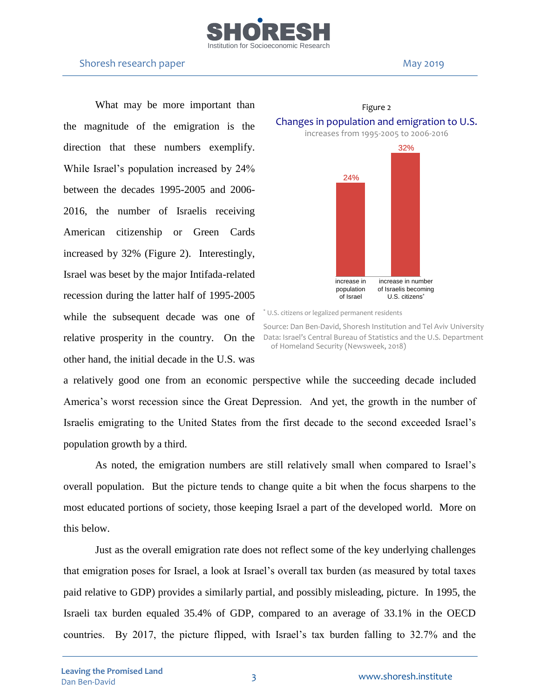

What may be more important than the magnitude of the emigration is the direction that these numbers exemplify. While Israel's population increased by 24% between the decades 1995-2005 and 2006- 2016, the number of Israelis receiving American citizenship or Green Cards increased by 32% (Figure 2). Interestingly, Israel was beset by the major Intifada-related recession during the latter half of 1995-2005 while the subsequent decade was one of other hand, the initial decade in the U.S. was



Figure 2

relative prosperity in the country. On the Data: Israel's Central Bureau of Statistics and the U.S. Department Source: Dan Ben-David, Shoresh Institution and Tel Aviv University of Homeland Security (Newsweek, 2018)

a relatively good one from an economic perspective while the succeeding decade included America's worst recession since the Great Depression. And yet, the growth in the number of Israelis emigrating to the United States from the first decade to the second exceeded Israel's population growth by a third.

As noted, the emigration numbers are still relatively small when compared to Israel's overall population. But the picture tends to change quite a bit when the focus sharpens to the most educated portions of society, those keeping Israel a part of the developed world. More on this below.

Just as the overall emigration rate does not reflect some of the key underlying challenges that emigration poses for Israel, a look at Israel's overall tax burden (as measured by total taxes paid relative to GDP) provides a similarly partial, and possibly misleading, picture. In 1995, the Israeli tax burden equaled 35.4% of GDP, compared to an average of 33.1% in the OECD countries. By 2017, the picture flipped, with Israel's tax burden falling to 32.7% and the

<sup>\*</sup> U.S. citizens or legalized permanent residents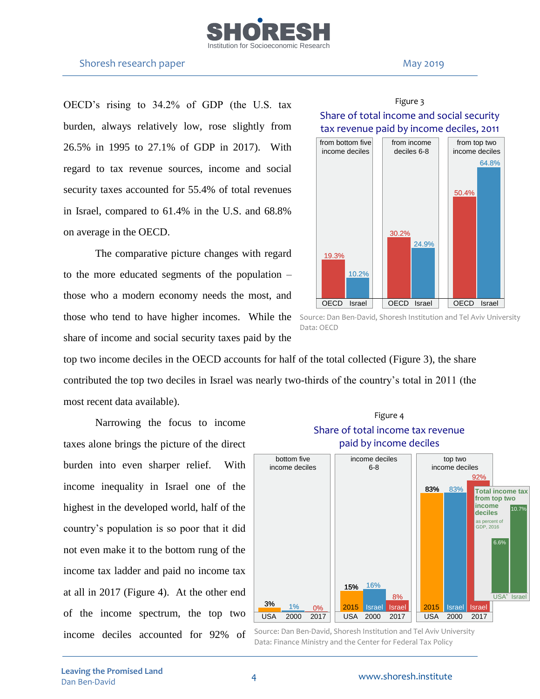

OECD's rising to 34.2% of GDP (the U.S. tax burden, always relatively low, rose slightly from 26.5% in 1995 to 27.1% of GDP in 2017). With regard to tax revenue sources, income and social security taxes accounted for 55.4% of total revenues in Israel, compared to 61.4% in the U.S. and 68.8% on average in the OECD.

The comparative picture changes with regard to the more educated segments of the population – those who a modern economy needs the most, and those who tend to have higher incomes. While the share of income and social security taxes paid by the

# top two income deciles in the OECD accounts for half of the total collected (Figure 3), the share contributed the top two deciles in Israel was nearly two-thirds of the country's total in 2011 (the most recent data available).

Narrowing the focus to income taxes alone brings the picture of the direct burden into even sharper relief. With income inequality in Israel one of the highest in the developed world, half of the country's population is so poor that it did not even make it to the bottom rung of the income tax ladder and paid no income tax at all in 2017 (Figure 4). At the other end of the income spectrum, the top two income deciles accounted for 92% of





Source: Dan Ben-David, Shoresh Institution and Tel Aviv University Data: Finance Ministry and the Center for Federal Tax Policy

# Figure 3 Share of total income and social security



Source: Dan Ben-David, Shoresh Institution and Tel Aviv University Data: OECD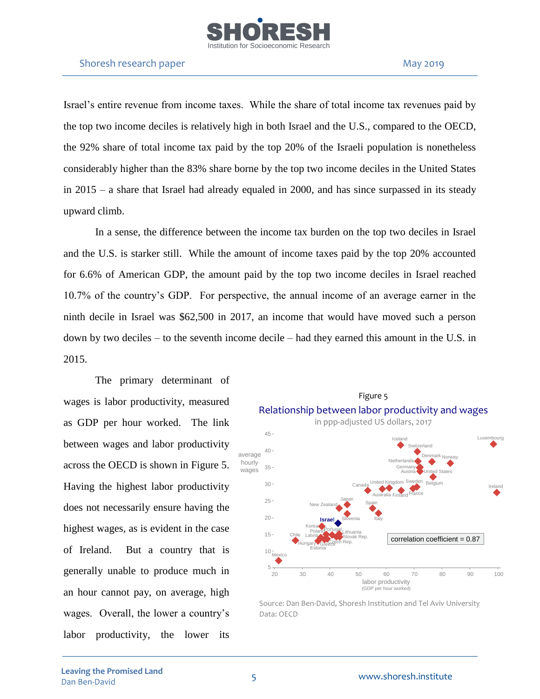

Israel's entire revenue from income taxes. While the share of total income tax revenues paid by the top two income deciles is relatively high in both Israel and the U.S., compared to the OECD, the 92% share of total income tax paid by the top 20% of the Israeli population is nonetheless considerably higher than the 83% share borne by the top two income deciles in the United States in 2015 – a share that Israel had already equaled in 2000, and has since surpassed in its steady upward climb.

In a sense, the difference between the income tax burden on the top two deciles in Israel and the U.S. is starker still. While the amount of income taxes paid by the top 20% accounted for 6.6% of American GDP, the amount paid by the top two income deciles in Israel reached 10.7% of the country's GDP. For perspective, the annual income of an average earner in the ninth decile in Israel was \$62,500 in 2017, an income that would have moved such a person down by two deciles – to the seventh income decile – had they earned this amount in the U.S. in 2015.

The primary determinant of wages is labor productivity, measured as GDP per hour worked. The link between wages and labor productivity across the OECD is shown in Figure 5. Having the highest labor productivity does not necessarily ensure having the highest wages, as is evident in the case of Ireland. But a country that is generally unable to produce much in an hour cannot pay, on average, high wages. Overall, the lower a country's labor productivity, the lower its



Source: Dan Ben-David, Shoresh Institution and Tel Aviv University Data: OECD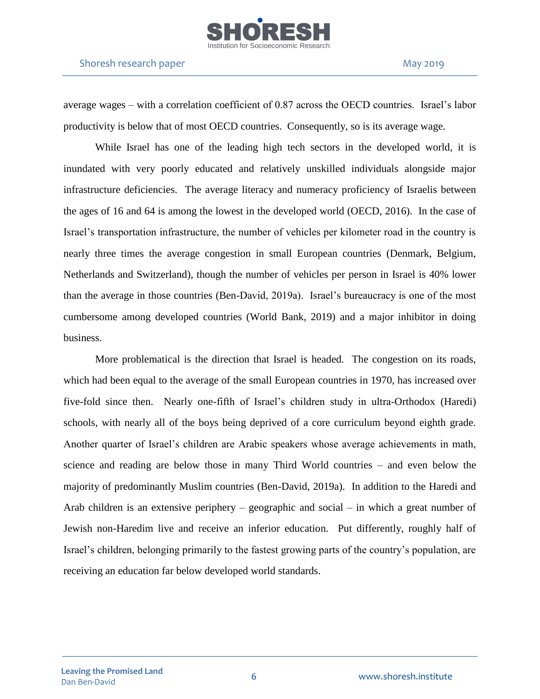

average wages – with a correlation coefficient of 0.87 across the OECD countries. Israel's labor productivity is below that of most OECD countries. Consequently, so is its average wage.

While Israel has one of the leading high tech sectors in the developed world, it is inundated with very poorly educated and relatively unskilled individuals alongside major infrastructure deficiencies. The average literacy and numeracy proficiency of Israelis between the ages of 16 and 64 is among the lowest in the developed world (OECD, 2016). In the case of Israel's transportation infrastructure, the number of vehicles per kilometer road in the country is nearly three times the average congestion in small European countries (Denmark, Belgium, Netherlands and Switzerland), though the number of vehicles per person in Israel is 40% lower than the average in those countries (Ben-David, 2019a). Israel's bureaucracy is one of the most cumbersome among developed countries (World Bank, 2019) and a major inhibitor in doing business.

More problematical is the direction that Israel is headed. The congestion on its roads, which had been equal to the average of the small European countries in 1970, has increased over five-fold since then. Nearly one-fifth of Israel's children study in ultra-Orthodox (Haredi) schools, with nearly all of the boys being deprived of a core curriculum beyond eighth grade. Another quarter of Israel's children are Arabic speakers whose average achievements in math, science and reading are below those in many Third World countries – and even below the majority of predominantly Muslim countries (Ben-David, 2019a). In addition to the Haredi and Arab children is an extensive periphery – geographic and social – in which a great number of Jewish non-Haredim live and receive an inferior education. Put differently, roughly half of Israel's children, belonging primarily to the fastest growing parts of the country's population, are receiving an education far below developed world standards.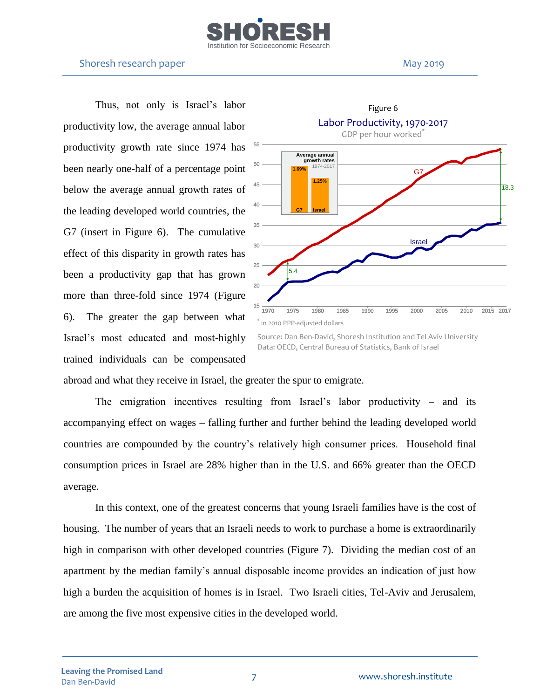

Thus, not only is Israel's labor productivity low, the average annual labor productivity growth rate since 1974 has been nearly one-half of a percentage point below the average annual growth rates of the leading developed world countries, the G7 (insert in Figure 6). The cumulative effect of this disparity in growth rates has been a productivity gap that has grown more than three-fold since 1974 (Figure 6). The greater the gap between what Israel's most educated and most-highly trained individuals can be compensated



Source: Dan Ben-David, Shoresh Institution and Tel Aviv University Data: OECD, Central Bureau of Statistics, Bank of Israel

abroad and what they receive in Israel, the greater the spur to emigrate.

The emigration incentives resulting from Israel's labor productivity – and its accompanying effect on wages – falling further and further behind the leading developed world countries are compounded by the country's relatively high consumer prices. Household final consumption prices in Israel are 28% higher than in the U.S. and 66% greater than the OECD average.

In this context, one of the greatest concerns that young Israeli families have is the cost of housing. The number of years that an Israeli needs to work to purchase a home is extraordinarily high in comparison with other developed countries (Figure 7). Dividing the median cost of an apartment by the median family's annual disposable income provides an indication of just how high a burden the acquisition of homes is in Israel. Two Israeli cities, Tel-Aviv and Jerusalem, are among the five most expensive cities in the developed world.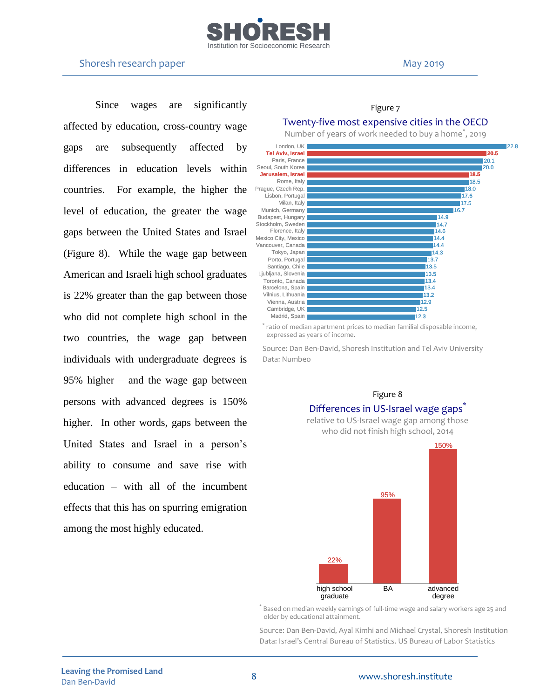

Since wages are significantly affected by education, cross-country wage gaps are subsequently affected by differences in education levels within countries. For example, the higher the level of education, the greater the wage gaps between the United States and Israel (Figure 8). While the wage gap between American and Israeli high school graduates is 22% greater than the gap between those who did not complete high school in the two countries, the wage gap between individuals with undergraduate degrees is 95% higher – and the wage gap between persons with advanced degrees is 150% higher. In other words, gaps between the United States and Israel in a person's ability to consume and save rise with education – with all of the incumbent effects that this has on spurring emigration among the most highly educated.

#### Figure 7

### Twenty-five most expensive cities in the OECD

Number of years of work needed to buy a home<sup>\*</sup>, 2019



\* ratio of median apartment prices to median familial disposable income, expressed as years of income.

Source: Dan Ben-David, Shoresh Institution and Tel Aviv University Data: Numbeo



\* Based on median weekly earnings of full-time wage and salary workers age 25 and older by educational attainment.

Source: Dan Ben-David, Ayal Kimhi and Michael Crystal, Shoresh Institution Data: Israel's Central Bureau of Statistics, US Bureau of Labor Statistics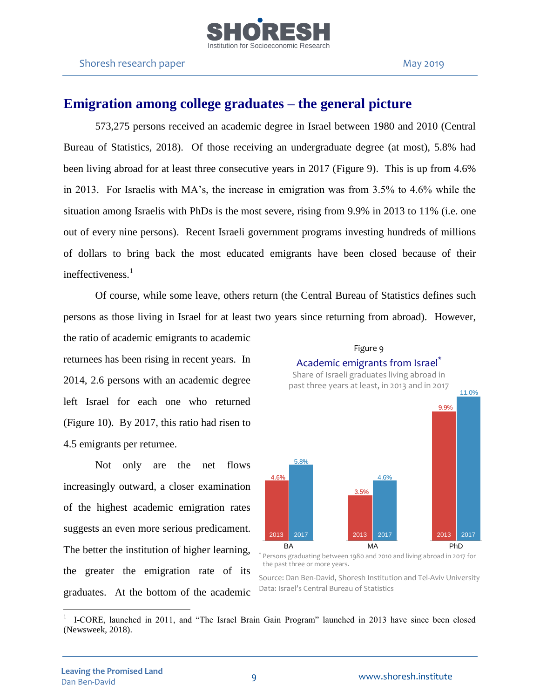

# **Emigration among college graduates – the general picture**

573,275 persons received an academic degree in Israel between 1980 and 2010 (Central Bureau of Statistics, 2018). Of those receiving an undergraduate degree (at most), 5.8% had been living abroad for at least three consecutive years in 2017 (Figure 9). This is up from 4.6% in 2013. For Israelis with MA's, the increase in emigration was from 3.5% to 4.6% while the situation among Israelis with PhDs is the most severe, rising from 9.9% in 2013 to 11% (i.e. one out of every nine persons). Recent Israeli government programs investing hundreds of millions of dollars to bring back the most educated emigrants have been closed because of their ineffectiveness.<sup>1</sup>

Of course, while some leave, others return (the Central Bureau of Statistics defines such persons as those living in Israel for at least two years since returning from abroad). However,

the ratio of academic emigrants to academic returnees has been rising in recent years. In 2014, 2.6 persons with an academic degree left Israel for each one who returned (Figure 10). By 2017, this ratio had risen to 4.5 emigrants per returnee.

Not only are the net flows increasingly outward, a closer examination of the highest academic emigration rates suggests an even more serious predicament. The better the institution of higher learning, the greater the emigration rate of its graduates. At the bottom of the academic



Figure 9

\* Persons graduating between 1980 and 2010 and living abroad in 2017 for the past three or more years.

Source: Dan Ben-David, Shoresh Institution and Tel-Aviv University Data: Israel's Central Bureau of Statistics

<sup>1</sup> I-CORE, launched in 2011, and "The Israel Brain Gain Program" launched in 2013 have since been closed (Newsweek, 2018).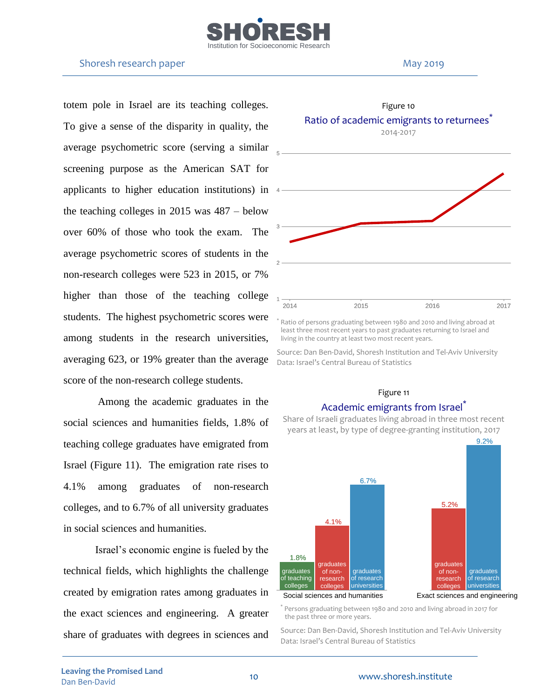

#### Shoresh research paper May 2019

totem pole in Israel are its teaching colleges. To give a sense of the disparity in quality, the average psychometric score (serving a similar screening purpose as the American SAT for applicants to higher education institutions) in 4 the teaching colleges in 2015 was 487 – below over 60% of those who took the exam. The average psychometric scores of students in the non-research colleges were 523 in 2015, or 7% higher than those of the teaching college students. The highest psychometric scores were among students in the research universities, averaging 623, or 19% greater than the average score of the non-research college students.

Among the academic graduates in the social sciences and humanities fields, 1.8% of teaching college graduates have emigrated from Israel (Figure 11). The emigration rate rises to 4.1% among graduates of non-research colleges, and to 6.7% of all university graduates in social sciences and humanities.

Israel's economic engine is fueled by the technical fields, which highlights the challenge created by emigration rates among graduates in the exact sciences and engineering. A greater share of graduates with degrees in sciences and



Ratio of persons graduating between 1980 and 2010 and living abroad at least three most recent years to past graduates returning to Israel and living in the country at least two most recent years.

Source: Dan Ben-David, Shoresh Institution and Tel-Aviv University Data: Israel's Central Bureau of Statistics

#### Figure 11



## Academic emigrants from Israel<sup>\*</sup>

Share of Israeli graduates living abroad in three most recent years at least, by type of degree-granting institution, 2017

\* Persons graduating between 1980 and 2010 and living abroad in 2017 for the past three or more years.

Source: Dan Ben-David, Shoresh Institution and Tel-Aviv University Data: Israel's Central Bureau of Statistics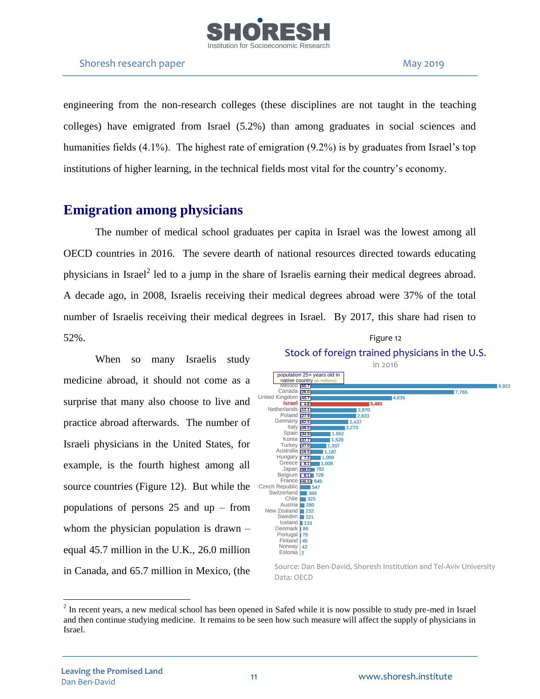

engineering from the non-research colleges (these disciplines are not taught in the teaching colleges) have emigrated from Israel (5.2%) than among graduates in social sciences and humanities fields (4.1%). The highest rate of emigration (9.2%) is by graduates from Israel's top institutions of higher learning, in the technical fields most vital for the country's economy.

# **Emigration among physicians**

The number of medical school graduates per capita in Israel was the lowest among all OECD countries in 2016. The severe dearth of national resources directed towards educating physicians in Israel<sup>2</sup> led to a jump in the share of Israelis earning their medical degrees abroad. A decade ago, in 2008, Israelis receiving their medical degrees abroad were 37% of the total number of Israelis receiving their medical degrees in Israel. By 2017, this share had risen to 52%. Figure 12

When so many Israelis study medicine abroad, it should not come as a surprise that many also choose to live and practice abroad afterwards. The number of Israeli physicians in the United States, for example, is the fourth highest among all source countries (Figure 12). But while the populations of persons 25 and up – from whom the physician population is drawn – equal 45.7 million in the U.K., 26.0 million in Canada, and 65.7 million in Mexico, (the



 $2^{2}$  In recent years, a new medical school has been opened in Safed while it is now possible to study pre-med in Israel and then continue studying medicine. It remains to be seen how such measure will affect the supply of physicians in Israel.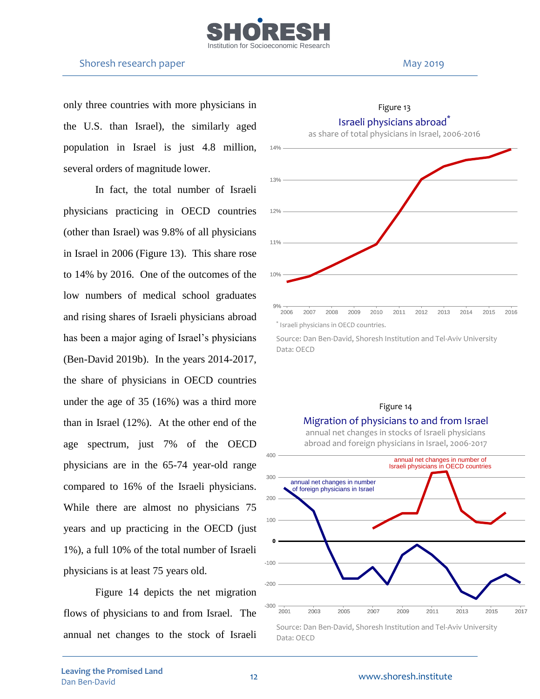

only three countries with more physicians in the U.S. than Israel), the similarly aged population in Israel is just 4.8 million, several orders of magnitude lower.

In fact, the total number of Israeli physicians practicing in OECD countries (other than Israel) was 9.8% of all physicians in Israel in 2006 (Figure 13). This share rose to 14% by 2016. One of the outcomes of the low numbers of medical school graduates and rising shares of Israeli physicians abroad has been a major aging of Israel's physicians (Ben-David 2019b). In the years 2014-2017, the share of physicians in OECD countries under the age of 35 (16%) was a third more than in Israel (12%). At the other end of the age spectrum, just 7% of the OECD physicians are in the 65-74 year-old range compared to 16% of the Israeli physicians. While there are almost no physicians 75 years and up practicing in the OECD (just 1%), a full 10% of the total number of Israeli physicians is at least 75 years old.

Figure 14 depicts the net migration flows of physicians to and from Israel. The annual net changes to the stock of Israeli



Figure 13

Source: Dan Ben-David, Shoresh Institution and Tel-Aviv University Data: OECD

#### Figure 14

### Migration of physicians to and from Israel

annual net changes in stocks of Israeli physicians abroad and foreign physicians in Israel, 2006-2017



Source: Dan Ben-David, Shoresh Institution and Tel-Aviv University Data: OECD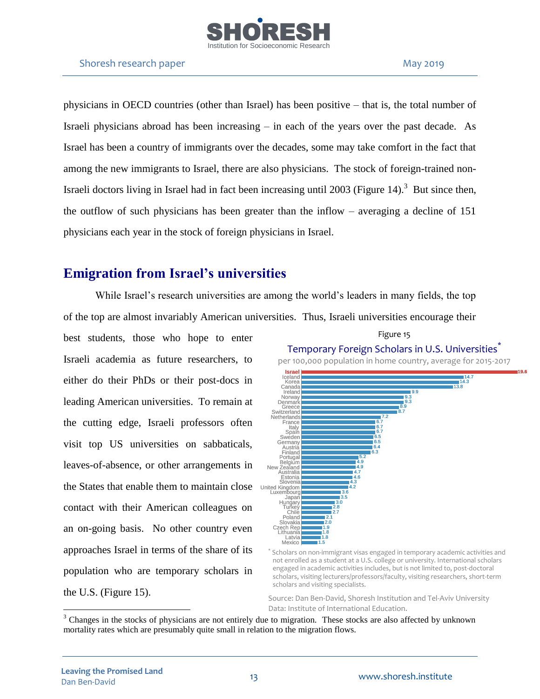

physicians in OECD countries (other than Israel) has been positive – that is, the total number of Israeli physicians abroad has been increasing – in each of the years over the past decade. As Israel has been a country of immigrants over the decades, some may take comfort in the fact that among the new immigrants to Israel, there are also physicians. The stock of foreign-trained non-Israeli doctors living in Israel had in fact been increasing until 2003 (Figure 14).<sup>3</sup> But since then, the outflow of such physicians has been greater than the inflow – averaging a decline of 151 physicians each year in the stock of foreign physicians in Israel.

# **Emigration from Israel's universities**

While Israel's research universities are among the world's leaders in many fields, the top of the top are almost invariably American universities. Thus, Israeli universities encourage their

best students, those who hope to enter Israeli academia as future researchers, to either do their PhDs or their post-docs in leading American universities. To remain at the cutting edge, Israeli professors often visit top US universities on sabbaticals, leaves-of-absence, or other arrangements in the States that enable them to maintain close contact with their American colleagues on an on-going basis. No other country even approaches Israel in terms of the share of its population who are temporary scholars in the U.S. (Figure 15).



Scholars on non-immigrant visas engaged in temporary academic activities and not enrolled as a student at a U.S. college or university. International scholars engaged in academic activities includes, but is not limited to, post-doctoral scholars, visiting lecturers/professors/faculty, visiting researchers, short-term scholars and visiting specialists.

Source: Dan Ben-David, Shoresh Institution and Tel-Aviv University Data: Institute of International Education.

\*

<sup>&</sup>lt;sup>3</sup> Changes in the stocks of physicians are not entirely due to migration. These stocks are also affected by unknown mortality rates which are presumably quite small in relation to the migration flows.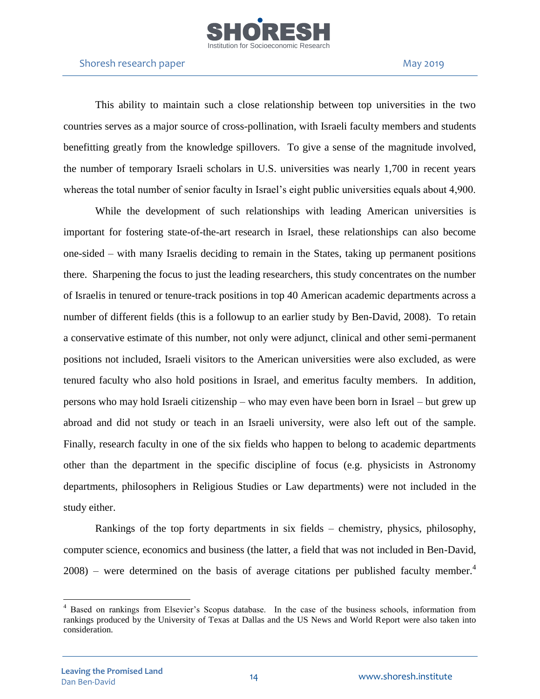

This ability to maintain such a close relationship between top universities in the two countries serves as a major source of cross-pollination, with Israeli faculty members and students benefitting greatly from the knowledge spillovers. To give a sense of the magnitude involved, the number of temporary Israeli scholars in U.S. universities was nearly 1,700 in recent years whereas the total number of senior faculty in Israel's eight public universities equals about 4,900.

While the development of such relationships with leading American universities is important for fostering state-of-the-art research in Israel, these relationships can also become one-sided – with many Israelis deciding to remain in the States, taking up permanent positions there. Sharpening the focus to just the leading researchers, this study concentrates on the number of Israelis in tenured or tenure-track positions in top 40 American academic departments across a number of different fields (this is a followup to an earlier study by Ben-David, 2008). To retain a conservative estimate of this number, not only were adjunct, clinical and other semi-permanent positions not included, Israeli visitors to the American universities were also excluded, as were tenured faculty who also hold positions in Israel, and emeritus faculty members. In addition, persons who may hold Israeli citizenship – who may even have been born in Israel – but grew up abroad and did not study or teach in an Israeli university, were also left out of the sample. Finally, research faculty in one of the six fields who happen to belong to academic departments other than the department in the specific discipline of focus (e.g. physicists in Astronomy departments, philosophers in Religious Studies or Law departments) were not included in the study either.

Rankings of the top forty departments in six fields – chemistry, physics, philosophy, computer science, economics and business (the latter, a field that was not included in Ben-David,  $2008$ ) – were determined on the basis of average citations per published faculty member.<sup>4</sup>

<sup>4</sup> Based on rankings from Elsevier's Scopus database. In the case of the business schools, information from rankings produced by the University of Texas at Dallas and the US News and World Report were also taken into consideration.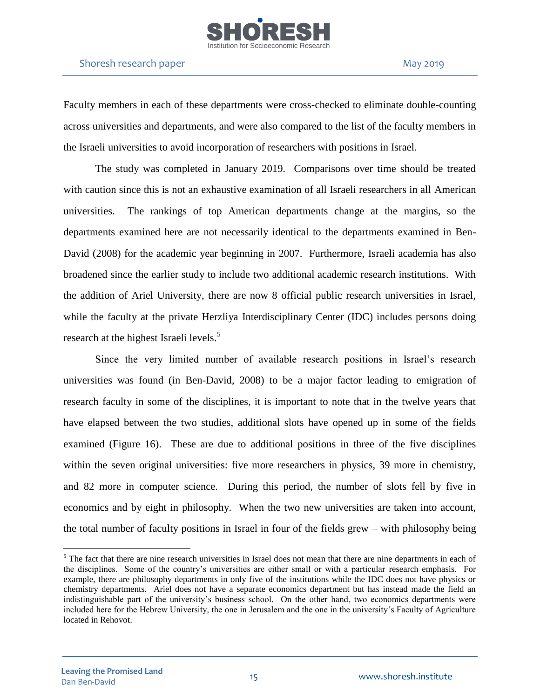

### Shoresh research paper May 2019

Faculty members in each of these departments were cross-checked to eliminate double-counting across universities and departments, and were also compared to the list of the faculty members in the Israeli universities to avoid incorporation of researchers with positions in Israel.

The study was completed in January 2019. Comparisons over time should be treated with caution since this is not an exhaustive examination of all Israeli researchers in all American universities. The rankings of top American departments change at the margins, so the departments examined here are not necessarily identical to the departments examined in Ben-David (2008) for the academic year beginning in 2007. Furthermore, Israeli academia has also broadened since the earlier study to include two additional academic research institutions. With the addition of Ariel University, there are now 8 official public research universities in Israel, while the faculty at the private Herzliya Interdisciplinary Center (IDC) includes persons doing research at the highest Israeli levels.<sup>5</sup>

Since the very limited number of available research positions in Israel's research universities was found (in Ben-David, 2008) to be a major factor leading to emigration of research faculty in some of the disciplines, it is important to note that in the twelve years that have elapsed between the two studies, additional slots have opened up in some of the fields examined (Figure 16). These are due to additional positions in three of the five disciplines within the seven original universities: five more researchers in physics, 39 more in chemistry, and 82 more in computer science. During this period, the number of slots fell by five in economics and by eight in philosophy. When the two new universities are taken into account, the total number of faculty positions in Israel in four of the fields grew – with philosophy being

 $<sup>5</sup>$  The fact that there are nine research universities in Israel does not mean that there are nine departments in each of</sup> the disciplines. Some of the country's universities are either small or with a particular research emphasis. For example, there are philosophy departments in only five of the institutions while the IDC does not have physics or chemistry departments. Ariel does not have a separate economics department but has instead made the field an indistinguishable part of the university's business school. On the other hand, two economics departments were included here for the Hebrew University, the one in Jerusalem and the one in the university's Faculty of Agriculture located in Rehovot.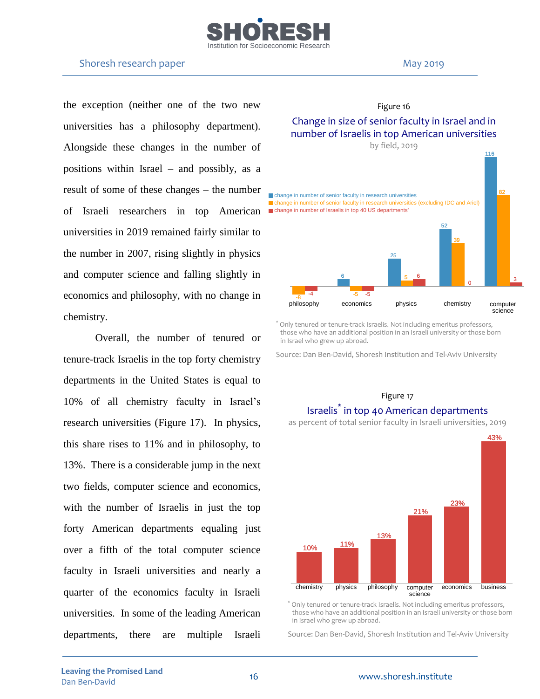

### Shoresh research paper May 2019

the exception (neither one of the two new universities has a philosophy department). Alongside these changes in the number of positions within Israel – and possibly, as a result of some of these changes – the number of Israeli researchers in top American universities in 2019 remained fairly similar to the number in 2007, rising slightly in physics and computer science and falling slightly in economics and philosophy, with no change in chemistry.

Overall, the number of tenured or tenure-track Israelis in the top forty chemistry departments in the United States is equal to 10% of all chemistry faculty in Israel's research universities (Figure 17). In physics, this share rises to 11% and in philosophy, to 13%. There is a considerable jump in the next two fields, computer science and economics, with the number of Israelis in just the top forty American departments equaling just over a fifth of the total computer science faculty in Israeli universities and nearly a quarter of the economics faculty in Israeli universities. In some of the leading American departments, there are multiple Israeli



\* Only tenured or tenure-track Israelis. Not including emeritus professors, those who have an additional position in an Israeli university or those born in Israel who grew up abroad.

Source: Dan Ben-David, Shoresh Institution and Tel-Aviv University

#### Figure 17

# Israelis\* in top 40 American departments

as percent of total senior faculty in Israeli universities, 2019



\* Only tenured or tenure-track Israelis. Not including emeritus professors, those who have an additional position in an Israeli university or those born in Israel who grew up abroad.

Source: Dan Ben-David, Shoresh Institution and Tel-Aviv University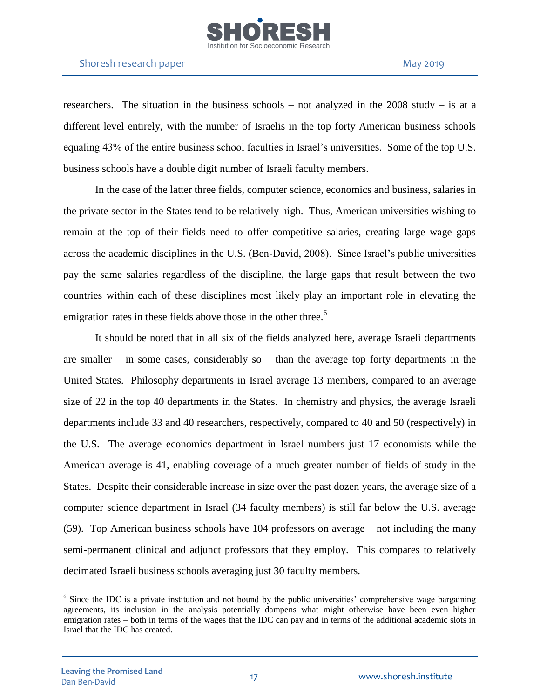

researchers. The situation in the business schools – not analyzed in the  $2008$  study – is at a different level entirely, with the number of Israelis in the top forty American business schools equaling 43% of the entire business school faculties in Israel's universities. Some of the top U.S. business schools have a double digit number of Israeli faculty members.

In the case of the latter three fields, computer science, economics and business, salaries in the private sector in the States tend to be relatively high. Thus, American universities wishing to remain at the top of their fields need to offer competitive salaries, creating large wage gaps across the academic disciplines in the U.S. (Ben-David, 2008). Since Israel's public universities pay the same salaries regardless of the discipline, the large gaps that result between the two countries within each of these disciplines most likely play an important role in elevating the emigration rates in these fields above those in the other three.<sup>6</sup>

It should be noted that in all six of the fields analyzed here, average Israeli departments are smaller – in some cases, considerably so – than the average top forty departments in the United States. Philosophy departments in Israel average 13 members, compared to an average size of 22 in the top 40 departments in the States. In chemistry and physics, the average Israeli departments include 33 and 40 researchers, respectively, compared to 40 and 50 (respectively) in the U.S. The average economics department in Israel numbers just 17 economists while the American average is 41, enabling coverage of a much greater number of fields of study in the States. Despite their considerable increase in size over the past dozen years, the average size of a computer science department in Israel (34 faculty members) is still far below the U.S. average (59). Top American business schools have 104 professors on average – not including the many semi-permanent clinical and adjunct professors that they employ. This compares to relatively decimated Israeli business schools averaging just 30 faculty members.

<sup>&</sup>lt;sup>6</sup> Since the IDC is a private institution and not bound by the public universities' comprehensive wage bargaining agreements, its inclusion in the analysis potentially dampens what might otherwise have been even higher emigration rates – both in terms of the wages that the IDC can pay and in terms of the additional academic slots in Israel that the IDC has created.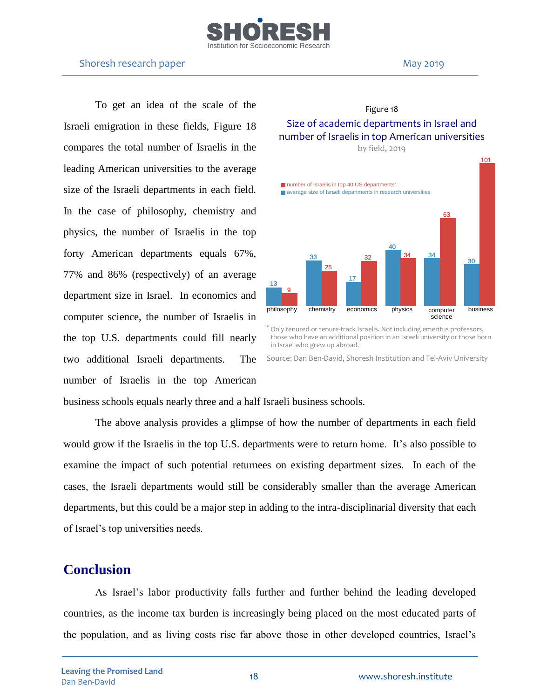

To get an idea of the scale of the Israeli emigration in these fields, Figure 18 compares the total number of Israelis in the leading American universities to the average size of the Israeli departments in each field. In the case of philosophy, chemistry and physics, the number of Israelis in the top forty American departments equals 67%, 77% and 86% (respectively) of an average department size in Israel. In economics and computer science, the number of Israelis in the top U.S. departments could fill nearly two additional Israeli departments. The number of Israelis in the top American



Figure 18

\* Only tenured or tenure-track Israelis. Not including emeritus professors, those who have an additional position in an Israeli university or those born in Israel who grew up abroad.

Source: Dan Ben-David, Shoresh Institution and Tel-Aviv University

business schools equals nearly three and a half Israeli business schools.

The above analysis provides a glimpse of how the number of departments in each field would grow if the Israelis in the top U.S. departments were to return home. It's also possible to examine the impact of such potential returnees on existing department sizes. In each of the cases, the Israeli departments would still be considerably smaller than the average American departments, but this could be a major step in adding to the intra-disciplinarial diversity that each of Israel's top universities needs.

# **Conclusion**

As Israel's labor productivity falls further and further behind the leading developed countries, as the income tax burden is increasingly being placed on the most educated parts of the population, and as living costs rise far above those in other developed countries, Israel's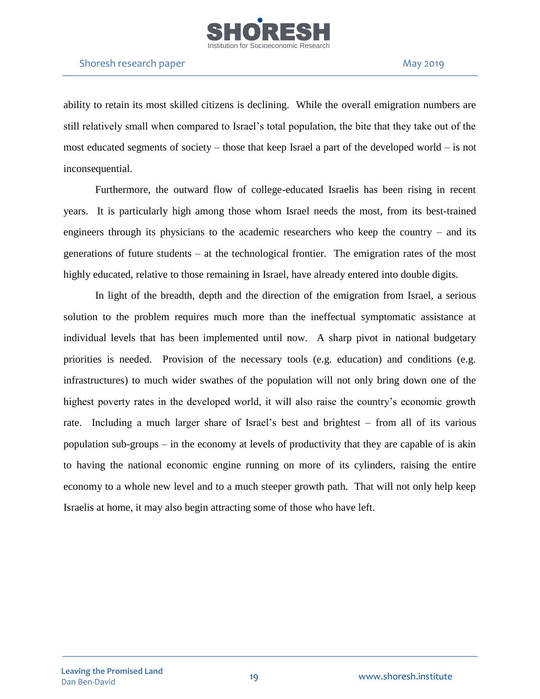

ability to retain its most skilled citizens is declining. While the overall emigration numbers are still relatively small when compared to Israel's total population, the bite that they take out of the most educated segments of society – those that keep Israel a part of the developed world – is not inconsequential.

Furthermore, the outward flow of college-educated Israelis has been rising in recent years. It is particularly high among those whom Israel needs the most, from its best-trained engineers through its physicians to the academic researchers who keep the country – and its generations of future students – at the technological frontier. The emigration rates of the most highly educated, relative to those remaining in Israel, have already entered into double digits.

In light of the breadth, depth and the direction of the emigration from Israel, a serious solution to the problem requires much more than the ineffectual symptomatic assistance at individual levels that has been implemented until now. A sharp pivot in national budgetary priorities is needed. Provision of the necessary tools (e.g. education) and conditions (e.g. infrastructures) to much wider swathes of the population will not only bring down one of the highest poverty rates in the developed world, it will also raise the country's economic growth rate. Including a much larger share of Israel's best and brightest – from all of its various population sub-groups – in the economy at levels of productivity that they are capable of is akin to having the national economic engine running on more of its cylinders, raising the entire economy to a whole new level and to a much steeper growth path. That will not only help keep Israelis at home, it may also begin attracting some of those who have left.